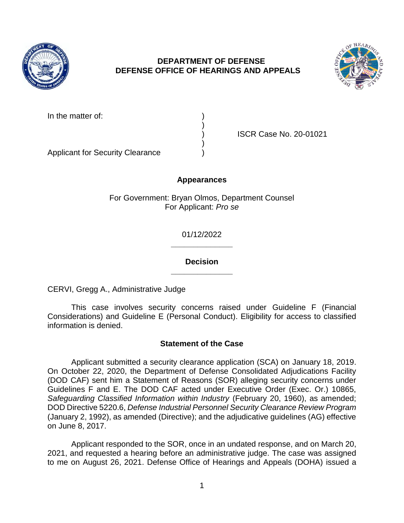

# **DEPARTMENT OF DEFENSE DEFENSE OFFICE OF HEARINGS AND APPEALS**



| In the matter of: |  |
|-------------------|--|
|                   |  |

) ISCR Case No. 20-01021

Applicant for Security Clearance )

## **Appearances**

)

)

For Government: Bryan Olmos, Department Counsel For Applicant: *Pro se* 

> **\_\_\_\_\_\_\_\_\_\_\_\_\_\_**  01/12/2022

> **\_\_\_\_\_\_\_\_\_\_\_\_\_\_ Decision**

CERVI, Gregg A., Administrative Judge

 This case involves security concerns raised under Guideline F (Financial Considerations) and Guideline E (Personal Conduct). Eligibility for access to classified information is denied.

# **Statement of the Case**

 Applicant submitted a security clearance application (SCA) on January 18, 2019. On October 22, 2020, the Department of Defense Consolidated Adjudications Facility (DOD CAF) sent him a Statement of Reasons (SOR) alleging security concerns under Safeguarding Classified Information within Industry (February 20, 1960), as amended;  DOD Directive 5220.6, *Defense Industrial Personnel Security Clearance Review Program*  (January 2, 1992), as amended (Directive); and the adjudicative guidelines (AG) effective Guidelines F and E. The DOD CAF acted under Executive Order (Exec. Or.) 10865, on June 8, 2017.

 Applicant responded to the SOR, once in an undated response, and on March 20, 2021, and requested a hearing before an administrative judge. The case was assigned to me on August 26, 2021. Defense Office of Hearings and Appeals (DOHA) issued a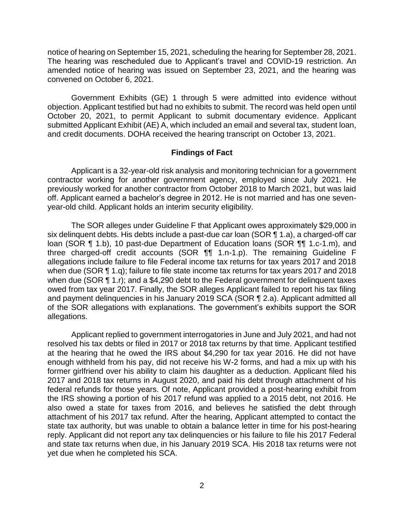notice of hearing on September 15, 2021, scheduling the hearing for September 28, 2021. The hearing was rescheduled due to Applicant's travel and COVID-19 restriction. An amended notice of hearing was issued on September 23, 2021, and the hearing was convened on October 6, 2021.

 Government Exhibits (GE) 1 through 5 were admitted into evidence without objection. Applicant testified but had no exhibits to submit. The record was held open until October 20, 2021, to permit Applicant to submit documentary evidence. Applicant submitted Applicant Exhibit (AE) A, which included an email and several tax, student loan, and credit documents. DOHA received the hearing transcript on October 13, 2021.

#### **Findings of Fact**

Applicant is a 32-year-old risk analysis and monitoring technician for a government contractor working for another government agency, employed since July 2021. He previously worked for another contractor from October 2018 to March 2021, but was laid off. Applicant earned a bachelor's degree in 2012. He is not married and has one sevenyear-old child. Applicant holds an interim security eligibility.

six delinquent debts. His debts include a past-due car loan (SOR ¶ 1.a), a charged-off car loan (SOR ¶ 1.b), 10 past-due Department of Education loans (SOR ¶¶ 1.c-1.m), and three charged-off credit accounts (SOR ¶¶ 1.n-1.p). The remaining Guideline F allegations include failure to file Federal income tax returns for tax years 2017 and 2018 when due (SOR ¶ 1.q); failure to file state income tax returns for tax years 2017 and 2018 when due (SOR ¶ 1.r); and a \$4,290 debt to the Federal government for delinquent taxes owed from tax year 2017. Finally, the SOR alleges Applicant failed to report his tax filing and payment delinquencies in his January 2019 SCA (SOR ¶ 2.a). Applicant admitted all of the SOR allegations with explanations. The government's exhibits support the SOR The SOR alleges under Guideline F that Applicant owes approximately \$29,000 in allegations.

 Applicant replied to government interrogatories in June and July 2021, and had not at the hearing that he owed the IRS about \$4,290 for tax year 2016. He did not have enough withheld from his pay, did not receive his W-2 forms, and had a mix up with his former girlfriend over his ability to claim his daughter as a deduction. Applicant filed his 2017 and 2018 tax returns in August 2020, and paid his debt through attachment of his federal refunds for those years. Of note, Applicant provided a post-hearing exhibit from the IRS showing a portion of his 2017 refund was applied to a 2015 debt, not 2016. He also owed a state for taxes from 2016, and believes he satisfied the debt through attachment of his 2017 tax refund. After the hearing, Applicant attempted to contact the state tax authority, but was unable to obtain a balance letter in time for his post-hearing and state tax returns when due, in his January 2019 SCA. His 2018 tax returns were not resolved his tax debts or filed in 2017 or 2018 tax returns by that time. Applicant testified reply. Applicant did not report any tax delinquencies or his failure to file his 2017 Federal yet due when he completed his SCA.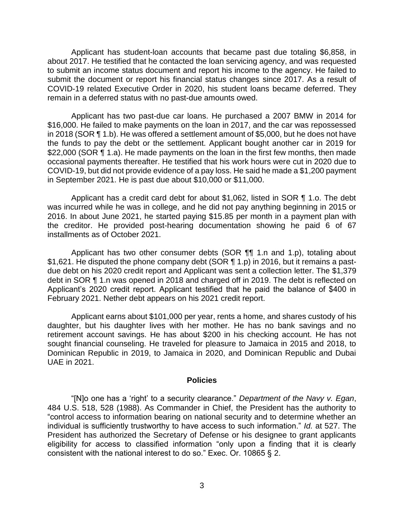Applicant has student-loan accounts that became past due totaling \$6,858, in about 2017. He testified that he contacted the loan servicing agency, and was requested to submit an income status document and report his income to the agency. He failed to submit the document or report his financial status changes since 2017. As a result of COVID-19 related Executive Order in 2020, his student loans became deferred. They remain in a deferred status with no past-due amounts owed.

 Applicant has two past-due car loans. He purchased a 2007 BMW in 2014 for \$16,000. He failed to make payments on the loan in 2017, and the car was repossessed in 2018 (SOR ¶ 1.b). He was offered a settlement amount of \$5,000, but he does not have the funds to pay the debt or the settlement. Applicant bought another car in 2019 for \$22,000 (SOR ¶ 1.a). He made payments on the loan in the first few months, then made occasional payments thereafter. He testified that his work hours were cut in 2020 due to COVID-19, but did not provide evidence of a pay loss. He said he made a \$1,200 payment in September 2021. He is past due about \$10,000 or \$11,000.

 Applicant has a credit card debt for about \$1,062, listed in SOR ¶ 1.o. The debt was incurred while he was in college, and he did not pay anything beginning in 2015 or 2016. In about June 2021, he started paying \$15.85 per month in a payment plan with the creditor. He provided post-hearing documentation showing he paid 6 of 67 installments as of October 2021.

Applicant has two other consumer debts (SOR ¶¶ 1.n and 1.p), totaling about \$1,621. He disputed the phone company debt (SOR ¶ 1.p) in 2016, but it remains a past- due debt on his 2020 credit report and Applicant was sent a collection letter. The \$1,379 Applicant's 2020 credit report. Applicant testified that he paid the balance of \$400 in debt in SOR ¶ 1.n was opened in 2018 and charged off in 2019. The debt is reflected on February 2021. Nether debt appears on his 2021 credit report.

 Applicant earns about \$101,000 per year, rents a home, and shares custody of his daughter, but his daughter lives with her mother. He has no bank savings and no retirement account savings. He has about \$200 in his checking account. He has not sought financial counseling. He traveled for pleasure to Jamaica in 2015 and 2018, to Dominican Republic in 2019, to Jamaica in 2020, and Dominican Republic and Dubai UAE in 2021.

#### **Policies**

 "[N]o one has a 'right' to a security clearance." *Department of the Navy v. Egan*, 484 U.S. 518, 528 (1988). As Commander in Chief, the President has the authority to "control access to information bearing on national security and to determine whether an individual is sufficiently trustworthy to have access to such information." *Id.* at 527. The President has authorized the Secretary of Defense or his designee to grant applicants eligibility for access to classified information "only upon a finding that it is clearly consistent with the national interest to do so." Exec. Or. 10865 § 2.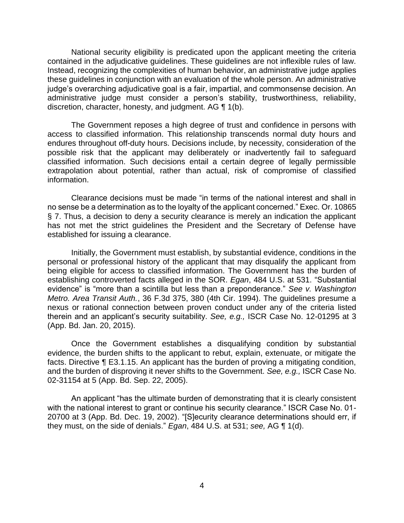National security eligibility is predicated upon the applicant meeting the criteria contained in the adjudicative guidelines. These guidelines are not inflexible rules of law. Instead, recognizing the complexities of human behavior, an administrative judge applies these guidelines in conjunction with an evaluation of the whole person. An administrative administrative judge must consider a person's stability, trustworthiness, reliability, discretion, character, honesty, and judgment. AG ¶ 1(b). judge's overarching adjudicative goal is a fair, impartial, and commonsense decision. An

 The Government reposes a high degree of trust and confidence in persons with access to classified information. This relationship transcends normal duty hours and endures throughout off-duty hours. Decisions include, by necessity, consideration of the possible risk that the applicant may deliberately or inadvertently fail to safeguard classified information. Such decisions entail a certain degree of legally permissible extrapolation about potential, rather than actual, risk of compromise of classified information.

 Clearance decisions must be made "in terms of the national interest and shall in no sense be a determination as to the loyalty of the applicant concerned." Exec. Or. 10865 § 7. Thus, a decision to deny a security clearance is merely an indication the applicant has not met the strict guidelines the President and the Secretary of Defense have established for issuing a clearance.

 Initially, the Government must establish, by substantial evidence, conditions in the personal or professional history of the applicant that may disqualify the applicant from being eligible for access to classified information. The Government has the burden of establishing controverted facts alleged in the SOR. *Egan*, 484 U.S. at 531. "Substantial evidence" is "more than a scintilla but less than a preponderance." *See v. Washington Metro. Area Transit Auth.*, 36 F.3d 375, 380 (4th Cir. 1994). The guidelines presume a nexus or rational connection between proven conduct under any of the criteria listed therein and an applicant's security suitability. *See, e.g.,* ISCR Case No. 12-01295 at 3 (App. Bd. Jan. 20, 2015).

 Once the Government establishes a disqualifying condition by substantial evidence, the burden shifts to the applicant to rebut, explain, extenuate, or mitigate the facts. Directive ¶ E3.1.15. An applicant has the burden of proving a mitigating condition, and the burden of disproving it never shifts to the Government. *See, e.g.,* ISCR Case No. 02-31154 at 5 (App. Bd. Sep. 22, 2005).

An applicant "has the ultimate burden of demonstrating that it is clearly consistent with the national interest to grant or continue his security clearance." ISCR Case No. 01- 20700 at 3 (App. Bd. Dec. 19, 2002). "[S]ecurity clearance determinations should err, if they must, on the side of denials." *Egan*, 484 U.S. at 531; *see,* AG ¶ 1(d).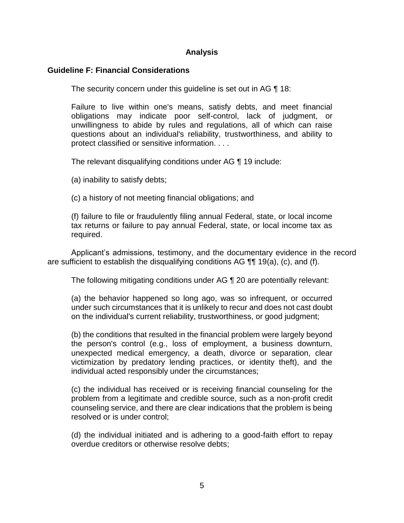## **Analysis**

### **Guideline F: Financial Considerations**

The security concern under this guideline is set out in AG ¶ 18:

 Failure to live within one's means, satisfy debts, and meet financial obligations may indicate poor self-control, lack of judgment, or unwillingness to abide by rules and regulations, all of which can raise questions about an individual's reliability, trustworthiness, and ability to protect classified or sensitive information. . . .

The relevant disqualifying conditions under AG ¶ 19 include:

(a) inability to satisfy debts;

(c) a history of not meeting financial obligations; and

 (f) failure to file or fraudulently filing annual Federal, state, or local income tax returns or failure to pay annual Federal, state, or local income tax as required.

 Applicant's admissions, testimony, and the documentary evidence in the record are sufficient to establish the disqualifying conditions AG ¶¶ 19(a), (c), and (f).

The following mitigating conditions under AG ¶ 20 are potentially relevant:

 (a) the behavior happened so long ago, was so infrequent, or occurred under such circumstances that it is unlikely to recur and does not cast doubt on the individual's current reliability, trustworthiness, or good judgment;

 (b) the conditions that resulted in the financial problem were largely beyond the person's control (e.g., loss of employment, a business downturn, unexpected medical emergency, a death, divorce or separation, clear victimization by predatory lending practices, or identity theft), and the individual acted responsibly under the circumstances;

 problem from a legitimate and credible source, such as a non-profit credit counseling service, and there are clear indications that the problem is being (c) the individual has received or is receiving financial counseling for the resolved or is under control;

 (d) the individual initiated and is adhering to a good-faith effort to repay overdue creditors or otherwise resolve debts;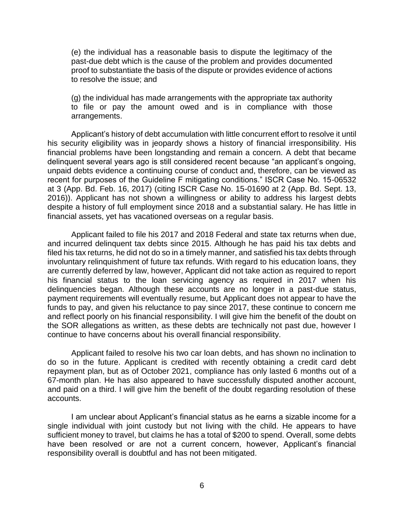(e) the individual has a reasonable basis to dispute the legitimacy of the proof to substantiate the basis of the dispute or provides evidence of actions past-due debt which is the cause of the problem and provides documented to resolve the issue; and

 (g) the individual has made arrangements with the appropriate tax authority to file or pay the amount owed and is in compliance with those arrangements.

 Applicant's history of debt accumulation with little concurrent effort to resolve it until his security eligibility was in jeopardy shows a history of financial irresponsibility. His financial problems have been longstanding and remain a concern. A debt that became delinquent several years ago is still considered recent because "an applicant's ongoing, unpaid debts evidence a continuing course of conduct and, therefore, can be viewed as recent for purposes of the Guideline F mitigating conditions." ISCR Case No. 15-06532 at 3 (App. Bd. Feb. 16, 2017) (citing ISCR Case No. 15-01690 at 2 (App. Bd. Sept. 13, 2016)). Applicant has not shown a willingness or ability to address his largest debts despite a history of full employment since 2018 and a substantial salary. He has little in financial assets, yet has vacationed overseas on a regular basis.

 Applicant failed to file his 2017 and 2018 Federal and state tax returns when due, and incurred delinquent tax debts since 2015. Although he has paid his tax debts and filed his tax returns, he did not do so in a timely manner, and satisfied his tax debts through involuntary relinquishment of future tax refunds. With regard to his education loans, they are currently deferred by law, however, Applicant did not take action as required to report his financial status to the loan servicing agency as required in 2017 when his delinquencies began. Although these accounts are no longer in a past-due status, payment requirements will eventually resume, but Applicant does not appear to have the funds to pay, and given his reluctance to pay since 2017, these continue to concern me and reflect poorly on his financial responsibility. I will give him the benefit of the doubt on the SOR allegations as written, as these debts are technically not past due, however I continue to have concerns about his overall financial responsibility.

 Applicant failed to resolve his two car loan debts, and has shown no inclination to do so in the future. Applicant is credited with recently obtaining a credit card debt repayment plan, but as of October 2021, compliance has only lasted 6 months out of a 67-month plan. He has also appeared to have successfully disputed another account, and paid on a third. I will give him the benefit of the doubt regarding resolution of these accounts.

accounts.<br>I am unclear about Applicant's financial status as he earns a sizable income for a single individual with joint custody but not living with the child. He appears to have sufficient money to travel, but claims he has a total of \$200 to spend. Overall, some debts have been resolved or are not a current concern, however, Applicant's financial responsibility overall is doubtful and has not been mitigated.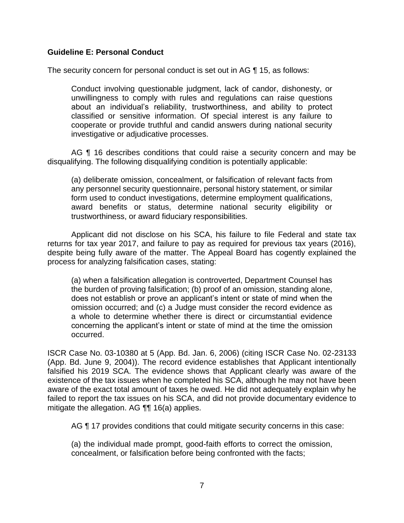### **Guideline E: Personal Conduct**

The security concern for personal conduct is set out in AG ¶ 15, as follows:

Conduct involving questionable judgment, lack of candor, dishonesty, or unwillingness to comply with rules and regulations can raise questions about an individual's reliability, trustworthiness, and ability to protect classified or sensitive information. Of special interest is any failure to cooperate or provide truthful and candid answers during national security investigative or adjudicative processes.

AG ¶ 16 describes conditions that could raise a security concern and may be disqualifying. The following disqualifying condition is potentially applicable:

 any personnel security questionnaire, personal history statement, or similar form used to conduct investigations, determine employment qualifications, award benefits or status, determine national security eligibility or (a) deliberate omission, concealment, or falsification of relevant facts from trustworthiness, or award fiduciary responsibilities.

 Applicant did not disclose on his SCA, his failure to file Federal and state tax returns for tax year 2017, and failure to pay as required for previous tax years (2016), despite being fully aware of the matter. The Appeal Board has cogently explained the process for analyzing falsification cases, stating:

 the burden of proving falsification; (b) proof of an omission, standing alone, does not establish or prove an applicant's intent or state of mind when the omission occurred; and (c) a Judge must consider the record evidence as a whole to determine whether there is direct or circumstantial evidence concerning the applicant's intent or state of mind at the time the omission (a) when a falsification allegation is controverted, Department Counsel has occurred.

 ISCR Case No. 03-10380 at 5 (App. Bd. Jan. 6, 2006) (citing ISCR Case No. 02-23133 falsified his 2019 SCA. The evidence shows that Applicant clearly was aware of the existence of the tax issues when he completed his SCA, although he may not have been failed to report the tax issues on his SCA, and did not provide documentary evidence to (App. Bd. June 9, 2004)). The record evidence establishes that Applicant intentionally aware of the exact total amount of taxes he owed. He did not adequately explain why he mitigate the allegation. AG ¶¶ 16(a) applies.

AG ¶ 17 provides conditions that could mitigate security concerns in this case:

 (a) the individual made prompt, good-faith efforts to correct the omission, concealment, or falsification before being confronted with the facts;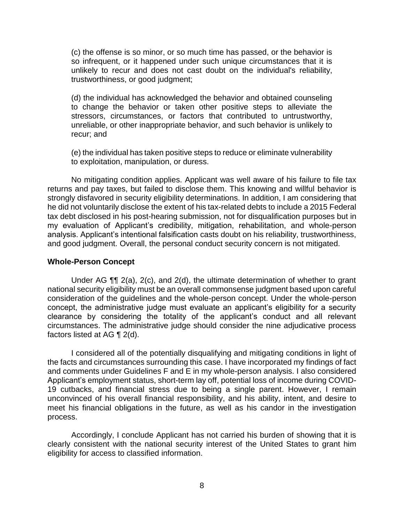(c) the offense is so minor, or so much time has passed, or the behavior is so infrequent, or it happened under such unique circumstances that it is unlikely to recur and does not cast doubt on the individual's reliability, trustworthiness, or good judgment;

 (d) the individual has acknowledged the behavior and obtained counseling to change the behavior or taken other positive steps to alleviate the stressors, circumstances, or factors that contributed to untrustworthy, unreliable, or other inappropriate behavior, and such behavior is unlikely to recur; and

 (e) the individual has taken positive steps to reduce or eliminate vulnerability to exploitation, manipulation, or duress.

 No mitigating condition applies. Applicant was well aware of his failure to file tax returns and pay taxes, but failed to disclose them. This knowing and willful behavior is strongly disfavored in security eligibility determinations. In addition, I am considering that he did not voluntarily disclose the extent of his tax-related debts to include a 2015 Federal my evaluation of Applicant's credibility, mitigation, rehabilitation, and whole-person analysis. Applicant's intentional falsification casts doubt on his reliability, trustworthiness, tax debt disclosed in his post-hearing submission, not for disqualification purposes but in and good judgment. Overall, the personal conduct security concern is not mitigated.

#### **Whole-Person Concept**

 Under AG ¶¶ 2(a), 2(c), and 2(d), the ultimate determination of whether to grant national security eligibility must be an overall commonsense judgment based upon careful consideration of the guidelines and the whole-person concept. Under the whole-person concept, the administrative judge must evaluate an applicant's eligibility for a security clearance by considering the totality of the applicant's conduct and all relevant circumstances. The administrative judge should consider the nine adjudicative process factors listed at AG ¶ 2(d).

I considered all of the potentially disqualifying and mitigating conditions in light of the facts and circumstances surrounding this case. I have incorporated my findings of fact and comments under Guidelines F and E in my whole-person analysis. I also considered Applicant's employment status, short-term lay off, potential loss of income during COVID-19 cutbacks, and financial stress due to being a single parent. However, I remain unconvinced of his overall financial responsibility, and his ability, intent, and desire to meet his financial obligations in the future, as well as his candor in the investigation process.

 Accordingly, I conclude Applicant has not carried his burden of showing that it is clearly consistent with the national security interest of the United States to grant him eligibility for access to classified information.